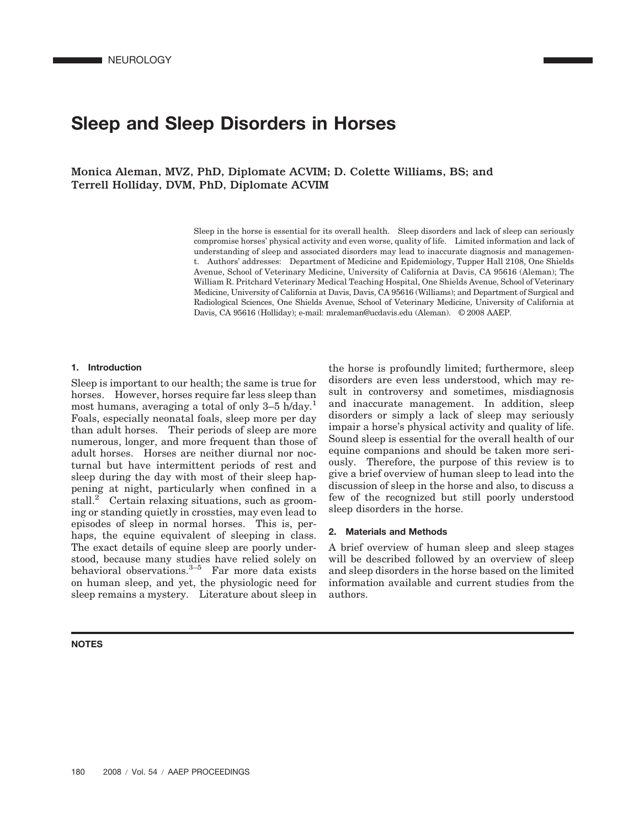# **Sleep and Sleep Disorders in Horses**

Monica Aleman, MVZ, PhD, Diplomate ACVIM; D. Colette Williams, BS; and Terrell Holliday, DVM, PhD, Diplomate ACVIM

> Sleep in the horse is essential for its overall health. Sleep disorders and lack of sleep can seriously compromise horses' physical activity and even worse, quality of life. Limited information and lack of understanding of sleep and associated disorders may lead to inaccurate diagnosis and management. Authors' addresses: Department of Medicine and Epidemiology, Tupper Hall 2108, One Shields Avenue, School of Veterinary Medicine, University of California at Davis, CA 95616 (Aleman); The William R. Pritchard Veterinary Medical Teaching Hospital, One Shields Avenue, School of Veterinary Medicine, University of California at Davis, Davis, CA 95616 (Williams); and Department of Surgical and Radiological Sciences, One Shields Avenue, School of Veterinary Medicine, University of California at Davis, CA 95616 (Holliday); e-mail: mraleman@ucdavis.edu (Aleman). © 2008 AAEP.

#### **1. Introduction**

Sleep is important to our health; the same is true for horses. However, horses require far less sleep than most humans, averaging a total of only 3–5 h/day.<sup>1</sup> Foals, especially neonatal foals, sleep more per day than adult horses. Their periods of sleep are more numerous, longer, and more frequent than those of adult horses. Horses are neither diurnal nor nocturnal but have intermittent periods of rest and sleep during the day with most of their sleep happening at night, particularly when confined in a stall.<sup>2</sup> Certain relaxing situations, such as grooming or standing quietly in crossties, may even lead to episodes of sleep in normal horses. This is, perhaps, the equine equivalent of sleeping in class. The exact details of equine sleep are poorly understood, because many studies have relied solely on behavioral observations. $3-5$  Far more data exists on human sleep, and yet, the physiologic need for sleep remains a mystery. Literature about sleep in

#### **NOTES**

the horse is profoundly limited; furthermore, sleep disorders are even less understood, which may result in controversy and sometimes, misdiagnosis and inaccurate management. In addition, sleep disorders or simply a lack of sleep may seriously impair a horse's physical activity and quality of life. Sound sleep is essential for the overall health of our equine companions and should be taken more seriously. Therefore, the purpose of this review is to give a brief overview of human sleep to lead into the discussion of sleep in the horse and also, to discuss a few of the recognized but still poorly understood sleep disorders in the horse.

#### **2. Materials and Methods**

A brief overview of human sleep and sleep stages will be described followed by an overview of sleep and sleep disorders in the horse based on the limited information available and current studies from the authors.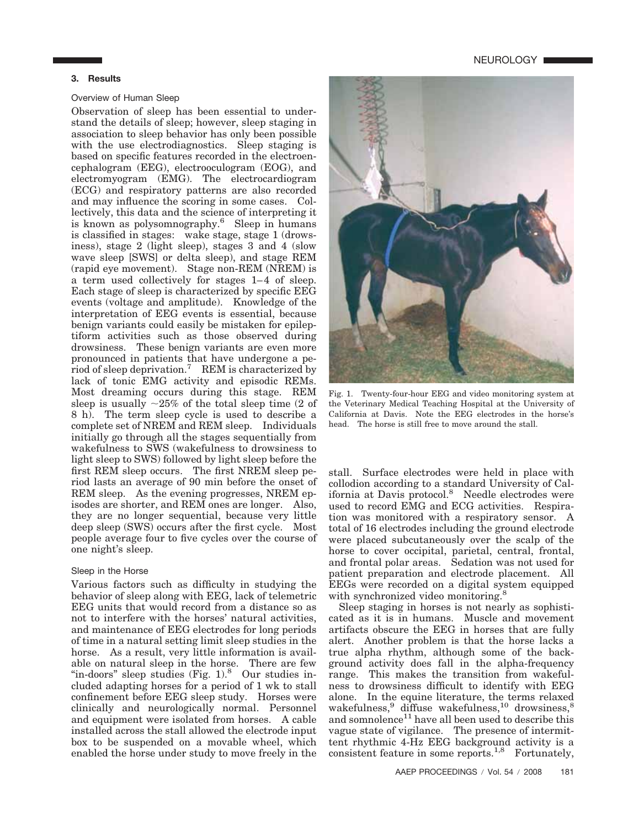## **3. Results**

## Overview of Human Sleep

Observation of sleep has been essential to understand the details of sleep; however, sleep staging in association to sleep behavior has only been possible with the use electrodiagnostics. Sleep staging is based on specific features recorded in the electroencephalogram (EEG), electrooculogram (EOG), and electromyogram (EMG). The electrocardiogram (ECG) and respiratory patterns are also recorded and may influence the scoring in some cases. Collectively, this data and the science of interpreting it is known as polysomnography.6 Sleep in humans is classified in stages: wake stage, stage 1 (drowsiness), stage 2 (light sleep), stages 3 and 4 (slow wave sleep [SWS] or delta sleep), and stage REM (rapid eye movement). Stage non-REM (NREM) is a term used collectively for stages  $1-4$  of sleep. Each stage of sleep is characterized by specific EEG events (voltage and amplitude). Knowledge of the interpretation of EEG events is essential, because benign variants could easily be mistaken for epileptiform activities such as those observed during drowsiness. These benign variants are even more pronounced in patients that have undergone a period of sleep deprivation.7 REM is characterized by lack of tonic EMG activity and episodic REMs. Most dreaming occurs during this stage. REM sleep is usually  $\sim$ 25% of the total sleep time (2 of 8 h). The term sleep cycle is used to describe a complete set of NREM and REM sleep. Individuals initially go through all the stages sequentially from wakefulness to SWS (wakefulness to drowsiness to light sleep to SWS) followed by light sleep before the first REM sleep occurs. The first NREM sleep period lasts an average of 90 min before the onset of REM sleep. As the evening progresses, NREM episodes are shorter, and REM ones are longer. Also, they are no longer sequential, because very little deep sleep (SWS) occurs after the first cycle. Most people average four to five cycles over the course of one night's sleep.

## Sleep in the Horse

Various factors such as difficulty in studying the behavior of sleep along with EEG, lack of telemetric EEG units that would record from a distance so as not to interfere with the horses' natural activities, and maintenance of EEG electrodes for long periods of time in a natural setting limit sleep studies in the horse. As a result, very little information is available on natural sleep in the horse. There are few "in-doors" sleep studies  $(Fig. 1)$ . Our studies included adapting horses for a period of 1 wk to stall confinement before EEG sleep study. Horses were clinically and neurologically normal. Personnel and equipment were isolated from horses. A cable installed across the stall allowed the electrode input box to be suspended on a movable wheel, which enabled the horse under study to move freely in the



Fig. 1. Twenty-four-hour EEG and video monitoring system at the Veterinary Medical Teaching Hospital at the University of California at Davis. Note the EEG electrodes in the horse's head. The horse is still free to move around the stall.

stall. Surface electrodes were held in place with collodion according to a standard University of California at Davis protocol.<sup>8</sup> Needle electrodes were used to record EMG and ECG activities. Respiration was monitored with a respiratory sensor. A total of 16 electrodes including the ground electrode were placed subcutaneously over the scalp of the horse to cover occipital, parietal, central, frontal, and frontal polar areas. Sedation was not used for patient preparation and electrode placement. All EEGs were recorded on a digital system equipped with synchronized video monitoring.<sup>8</sup>

Sleep staging in horses is not nearly as sophisticated as it is in humans. Muscle and movement artifacts obscure the EEG in horses that are fully alert. Another problem is that the horse lacks a true alpha rhythm, although some of the background activity does fall in the alpha-frequency range. This makes the transition from wakefulness to drowsiness difficult to identify with EEG alone. In the equine literature, the terms relaxed wakefulness,  $\frac{9}{9}$  diffuse wakefulness,  $\frac{10}{9}$  drowsiness,  $\frac{8}{9}$ and somnolence<sup>11</sup> have all been used to describe this vague state of vigilance. The presence of intermittent rhythmic 4-Hz EEG background activity is a consistent feature in some reports.<sup>1,8</sup> Fortunately,

**NEUROLOGY** ■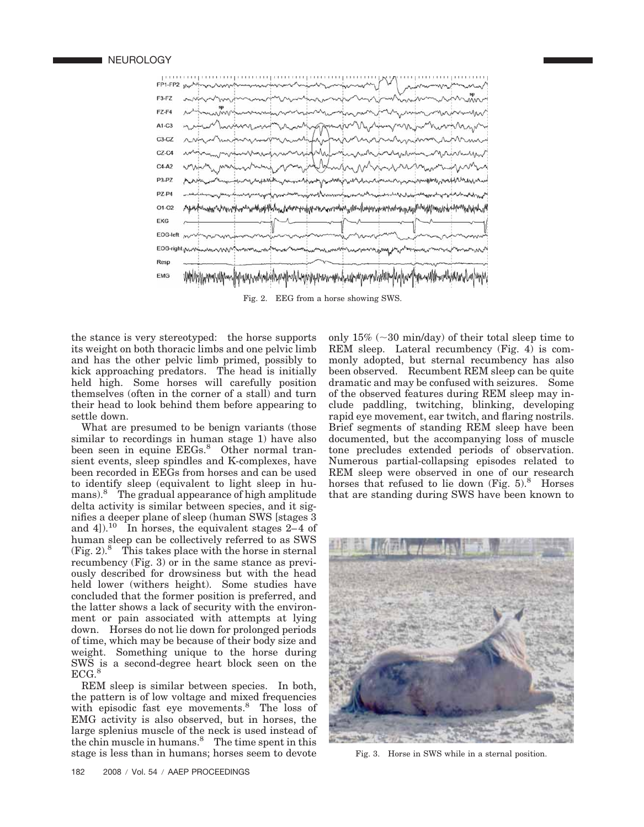

the stance is very stereotyped: the horse supports its weight on both thoracic limbs and one pelvic limb and has the other pelvic limb primed, possibly to kick approaching predators. The head is initially held high. Some horses will carefully position themselves (often in the corner of a stall) and turn their head to look behind them before appearing to settle down.

What are presumed to be benign variants (those similar to recordings in human stage 1) have also been seen in equine EEGs.<sup>8</sup> Other normal transient events, sleep spindles and K-complexes, have been recorded in EEGs from horses and can be used to identify sleep (equivalent to light sleep in humans).8 The gradual appearance of high amplitude delta activity is similar between species, and it signifies a deeper plane of sleep (human SWS [stages 3 and 4]).<sup>10</sup> In horses, the equivalent stages 2–4 of human sleep can be collectively referred to as SWS  $(Fig. 2)<sup>8</sup>$  This takes place with the horse in sternal recumbency (Fig. 3) or in the same stance as previously described for drowsiness but with the head held lower (withers height). Some studies have concluded that the former position is preferred, and the latter shows a lack of security with the environment or pain associated with attempts at lying down. Horses do not lie down for prolonged periods of time, which may be because of their body size and weight. Something unique to the horse during SWS is a second-degree heart block seen on the  $ECG.<sup>8</sup>$ 

REM sleep is similar between species. In both, the pattern is of low voltage and mixed frequencies with episodic fast eye movements.<sup>8</sup> The loss of EMG activity is also observed, but in horses, the large splenius muscle of the neck is used instead of the chin muscle in humans. $\delta$  The time spent in this stage is less than in humans; horses seem to devote

only  $15\%$  ( $\sim$ 30 min/day) of their total sleep time to REM sleep. Lateral recumbency (Fig. 4) is commonly adopted, but sternal recumbency has also been observed. Recumbent REM sleep can be quite dramatic and may be confused with seizures. Some of the observed features during REM sleep may include paddling, twitching, blinking, developing rapid eye movement, ear twitch, and flaring nostrils. Brief segments of standing REM sleep have been documented, but the accompanying loss of muscle tone precludes extended periods of observation. Numerous partial-collapsing episodes related to REM sleep were observed in one of our research horses that refused to lie down  $(Fig. 5)^8$  Horses that are standing during SWS have been known to



Fig. 3. Horse in SWS while in a sternal position.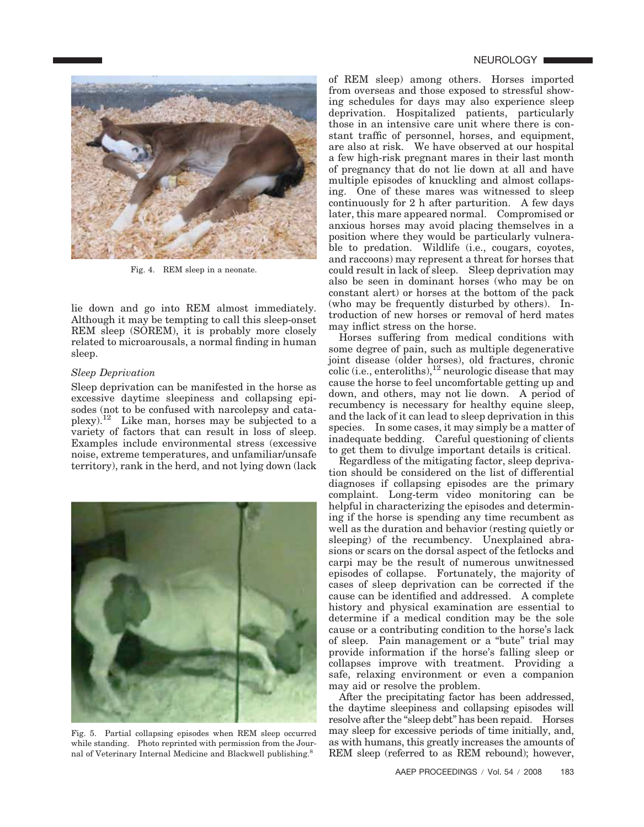

Fig. 4. REM sleep in a neonate.

lie down and go into REM almost immediately. Although it may be tempting to call this sleep-onset REM sleep (SOREM), it is probably more closely related to microarousals, a normal finding in human sleep.

#### *Sleep Deprivation*

Sleep deprivation can be manifested in the horse as excessive daytime sleepiness and collapsing episodes (not to be confused with narcolepsy and cataplexy).<sup>12</sup> Like man, horses may be subjected to a variety of factors that can result in loss of sleep. Examples include environmental stress (excessive noise, extreme temperatures, and unfamiliar/unsafe territory), rank in the herd, and not lying down (lack



Fig. 5. Partial collapsing episodes when REM sleep occurred while standing. Photo reprinted with permission from the Journal of Veterinary Internal Medicine and Blackwell publishing.8

of REM sleep) among others. Horses imported from overseas and those exposed to stressful showing schedules for days may also experience sleep deprivation. Hospitalized patients, particularly those in an intensive care unit where there is constant traffic of personnel, horses, and equipment, are also at risk. We have observed at our hospital a few high-risk pregnant mares in their last month of pregnancy that do not lie down at all and have multiple episodes of knuckling and almost collapsing. One of these mares was witnessed to sleep continuously for 2 h after parturition. A few days later, this mare appeared normal. Compromised or anxious horses may avoid placing themselves in a position where they would be particularly vulnerable to predation. Wildlife (i.e., cougars, covotes, and raccoons) may represent a threat for horses that could result in lack of sleep. Sleep deprivation may also be seen in dominant horses (who may be on constant alert) or horses at the bottom of the pack (who may be frequently disturbed by others). Introduction of new horses or removal of herd mates may inflict stress on the horse.

Horses suffering from medical conditions with some degree of pain, such as multiple degenerative joint disease (older horses), old fractures, chronic  $\text{colic (i.e., enteroliths)}$ <sup>12</sup> neurologic disease that may cause the horse to feel uncomfortable getting up and down, and others, may not lie down. A period of recumbency is necessary for healthy equine sleep, and the lack of it can lead to sleep deprivation in this species. In some cases, it may simply be a matter of inadequate bedding. Careful questioning of clients to get them to divulge important details is critical.

Regardless of the mitigating factor, sleep deprivation should be considered on the list of differential diagnoses if collapsing episodes are the primary complaint. Long-term video monitoring can be helpful in characterizing the episodes and determining if the horse is spending any time recumbent as well as the duration and behavior (resting quietly or sleeping) of the recumbency. Unexplained abrasions or scars on the dorsal aspect of the fetlocks and carpi may be the result of numerous unwitnessed episodes of collapse. Fortunately, the majority of cases of sleep deprivation can be corrected if the cause can be identified and addressed. A complete history and physical examination are essential to determine if a medical condition may be the sole cause or a contributing condition to the horse's lack of sleep. Pain management or a "bute" trial may provide information if the horse's falling sleep or collapses improve with treatment. Providing a safe, relaxing environment or even a companion may aid or resolve the problem.

After the precipitating factor has been addressed, the daytime sleepiness and collapsing episodes will resolve after the "sleep debt" has been repaid. Horses may sleep for excessive periods of time initially, and, as with humans, this greatly increases the amounts of REM sleep (referred to as REM rebound); however,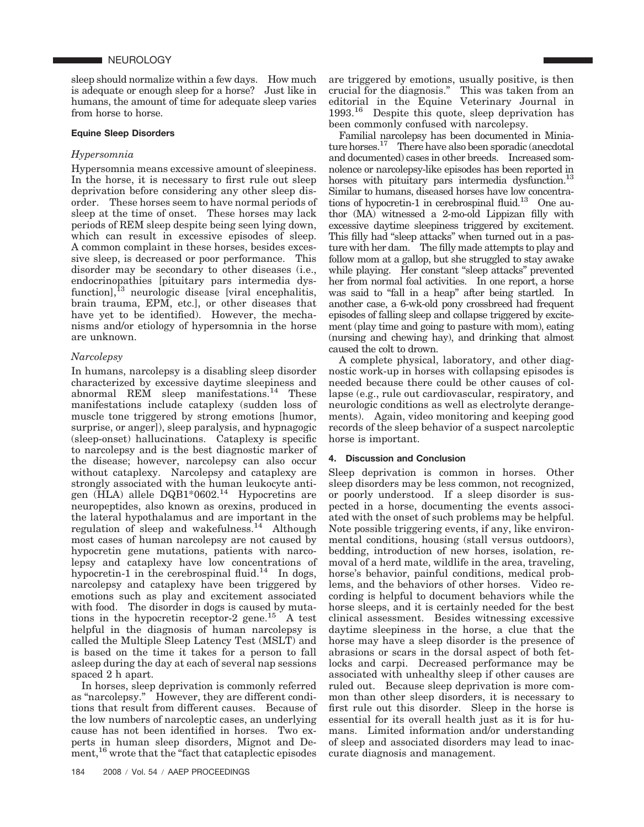sleep should normalize within a few days. How much is adequate or enough sleep for a horse? Just like in humans, the amount of time for adequate sleep varies from horse to horse.

#### **Equine Sleep Disorders**

## *Hypersomnia*

Hypersomnia means excessive amount of sleepiness. In the horse, it is necessary to first rule out sleep deprivation before considering any other sleep disorder. These horses seem to have normal periods of sleep at the time of onset. These horses may lack periods of REM sleep despite being seen lying down, which can result in excessive episodes of sleep. A common complaint in these horses, besides excessive sleep, is decreased or poor performance. This disorder may be secondary to other diseases (i.e., endocrinopathies [pituitary pars intermedia dysfunction],<sup>13</sup> neurologic disease [viral encephalitis, brain trauma, EPM, etc.], or other diseases that have yet to be identified). However, the mechanisms and/or etiology of hypersomnia in the horse are unknown.

## *Narcolepsy*

In humans, narcolepsy is a disabling sleep disorder characterized by excessive daytime sleepiness and abnormal REM sleep manifestations.14 These manifestations include cataplexy (sudden loss of muscle tone triggered by strong emotions [humor, surprise, or anger]), sleep paralysis, and hypnagogic (sleep-onset) hallucinations. Cataplexy is specific to narcolepsy and is the best diagnostic marker of the disease; however, narcolepsy can also occur without cataplexy. Narcolepsy and cataplexy are strongly associated with the human leukocyte antigen (HLA) allele DQB1\*0602.<sup>14</sup> Hypocretins are neuropeptides, also known as orexins, produced in the lateral hypothalamus and are important in the regulation of sleep and wakefulness.<sup>14</sup> Although most cases of human narcolepsy are not caused by hypocretin gene mutations, patients with narcolepsy and cataplexy have low concentrations of hypocretin-1 in the cerebrospinal fluid.<sup>14</sup> In dogs, narcolepsy and cataplexy have been triggered by emotions such as play and excitement associated with food. The disorder in dogs is caused by mutations in the hypocretin receptor-2 gene.<sup>15</sup> A test helpful in the diagnosis of human narcolepsy is called the Multiple Sleep Latency Test (MSLT) and is based on the time it takes for a person to fall asleep during the day at each of several nap sessions spaced 2 h apart.

In horses, sleep deprivation is commonly referred as "narcolepsy." However, they are different conditions that result from different causes. Because of the low numbers of narcoleptic cases, an underlying cause has not been identified in horses. Two experts in human sleep disorders, Mignot and Dement,<sup>16</sup> wrote that the "fact that cataplectic episodes are triggered by emotions, usually positive, is then crucial for the diagnosis." This was taken from an editorial in the Equine Veterinary Journal in 1993.<sup>16</sup> Despite this quote, sleep deprivation has been commonly confused with narcolepsy.

Familial narcolepsy has been documented in Miniature horses.<sup>17</sup> There have also been sporadic (anecdotal and documented) cases in other breeds. Increased somnolence or narcolepsy-like episodes has been reported in horses with pituitary pars intermedia dysfunction.<sup>13</sup> Similar to humans, diseased horses have low concentrations of hypocretin-1 in cerebrospinal fluid.<sup>13</sup> One author (MA) witnessed a 2-mo-old Lippizan filly with excessive daytime sleepiness triggered by excitement. This filly had "sleep attacks" when turned out in a pasture with her dam. The filly made attempts to play and follow mom at a gallop, but she struggled to stay awake while playing. Her constant "sleep attacks" prevented her from normal foal activities. In one report, a horse was said to "fall in a heap" after being startled. In another case, a 6-wk-old pony crossbreed had frequent episodes of falling sleep and collapse triggered by excitement (play time and going to pasture with mom), eating (nursing and chewing hay), and drinking that almost caused the colt to drown.

A complete physical, laboratory, and other diagnostic work-up in horses with collapsing episodes is needed because there could be other causes of collapse (e.g., rule out cardiovascular, respiratory, and neurologic conditions as well as electrolyte derangements). Again, video monitoring and keeping good records of the sleep behavior of a suspect narcoleptic horse is important.

#### **4. Discussion and Conclusion**

Sleep deprivation is common in horses. Other sleep disorders may be less common, not recognized, or poorly understood. If a sleep disorder is suspected in a horse, documenting the events associated with the onset of such problems may be helpful. Note possible triggering events, if any, like environmental conditions, housing (stall versus outdoors), bedding, introduction of new horses, isolation, removal of a herd mate, wildlife in the area, traveling, horse's behavior, painful conditions, medical problems, and the behaviors of other horses. Video recording is helpful to document behaviors while the horse sleeps, and it is certainly needed for the best clinical assessment. Besides witnessing excessive daytime sleepiness in the horse, a clue that the horse may have a sleep disorder is the presence of abrasions or scars in the dorsal aspect of both fetlocks and carpi. Decreased performance may be associated with unhealthy sleep if other causes are ruled out. Because sleep deprivation is more common than other sleep disorders, it is necessary to first rule out this disorder. Sleep in the horse is essential for its overall health just as it is for humans. Limited information and/or understanding of sleep and associated disorders may lead to inaccurate diagnosis and management.